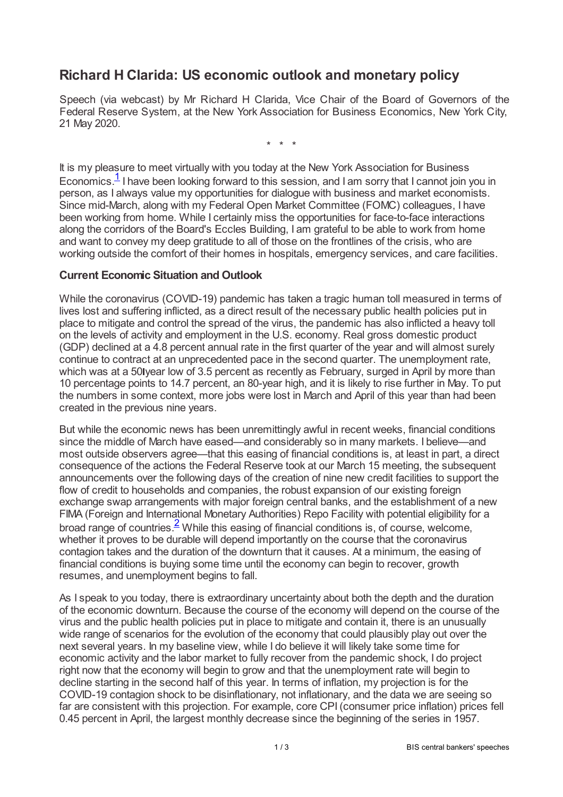## **Richard H Clarida: US economic outlook and monetary policy**

Speech (via webcast) by Mr Richard H Clarida, Vice Chair of the Board of Governors of the Federal Reserve System, at the New York Association for Business Economics, New York City, 21 May 2020.

\* \* \*

<span id="page-0-0"></span>It is my pleasure to meet virtually with you today at the New York Association for Business Economics.<sup>[1](#page-2-0)</sup> I have been looking forward to this session, and I am sorry that I cannot join you in person, as I always value my opportunities for dialogue with business and market economists. Since mid-March, along with my Federal Open Market Committee (FOMC) colleagues, I have been working from home. While I certainly miss the opportunities for face-to-face interactions along the corridors of the Board's Eccles Building, I am grateful to be able to work from home and want to convey my deep gratitude to all of those on the frontlines of the crisis, who are working outside the comfort of their homes in hospitals, emergency services, and care facilities.

## **Current Economic Situation and Outlook**

While the coronavirus (COVID-19) pandemic has taken a tragic human toll measured in terms of lives lost and suffering inflicted, as a direct result of the necessary public health policies put in place to mitigate and control the spread of the virus, the pandemic has also inflicted a heavy toll on the levels of activity and employment in the U.S. economy. Real gross domestic product (GDP) declined at a 4.8 percent annual rate in the first quarter of the year and will almost surely continue to contract at an unprecedented pace in the second quarter. The unemployment rate, which was at a 50 year low of 3.5 percent as recently as February, surged in April by more than 10 percentage points to 14.7 percent, an 80-year high, and it is likely to rise further in May. To put the numbers in some context, more jobs were lost in March and April of this year than had been created in the previous nine years.

But while the economic news has been unremittingly awful in recent weeks, financial conditions since the middle of March have eased—and considerably so in many markets. I believe—and most outside observers agree—that this easing of financial conditions is, at least in part, a direct consequence of the actions the Federal Reserve took at our March 15 meeting, the subsequent announcements over the following days of the creation of nine new credit facilities to support the flow of credit to households and companies, the robust expansion of our existing foreign exchange swap arrangements with major foreign central banks, and the establishment of a new FIMA (Foreign and International Monetary Authorities) Repo Facility with potential eligibility for a broad range of countries.<sup>[2](#page-2-1)</sup> While this easing of financial conditions is, of course, welcome, whether it proves to be durable will depend importantly on the course that the coronavirus contagion takes and the duration of the downturn that it causes. At a minimum, the easing of financial conditions is buying some time until the economy can begin to recover, growth resumes, and unemployment begins to fall.

<span id="page-0-1"></span>As I speak to you today, there is extraordinary uncertainty about both the depth and the duration of the economic downturn. Because the course of the economy will depend on the course of the virus and the public health policies put in place to mitigate and contain it, there is an unusually wide range of scenarios for the evolution of the economy that could plausibly play out over the next several years. In my baseline view, while I do believe it will likely take some time for economic activity and the labor market to fully recover from the pandemic shock, I do project right now that the economy will begin to grow and that the unemployment rate will begin to decline starting in the second half of this year. In terms of inflation, my projection is for the COVID-19 contagion shock to be disinflationary, not inflationary, and the data we are seeing so far are consistent with this projection. For example, core CPI (consumer price inflation) prices fell 0.45 percent in April, the largest monthly decrease since the beginning of the series in 1957.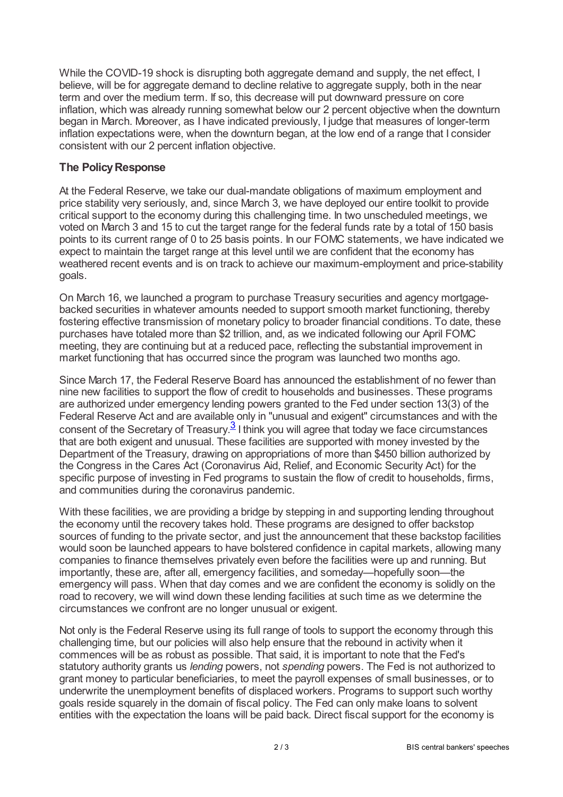While the COVID-19 shock is disrupting both aggregate demand and supply, the net effect, I believe, will be for aggregate demand to decline relative to aggregate supply, both in the near term and over the medium term. If so, this decrease will put downward pressure on core inflation, which was already running somewhat below our 2 percent objective when the downturn began in March. Moreover, as I have indicated previously, I judge that measures of longer-term inflation expectations were, when the downturn began, at the low end of a range that I consider consistent with our 2 percent inflation objective.

## **The PolicyResponse**

At the Federal Reserve, we take our dual-mandate obligations of maximum employment and price stability very seriously, and, since March 3, we have deployed our entire toolkit to provide critical support to the economy during this challenging time. In two unscheduled meetings, we voted on March 3 and 15 to cut the target range for the federal funds rate by a total of 150 basis points to its current range of 0 to 25 basis points. In our FOMC statements, we have indicated we expect to maintain the target range at this level until we are confident that the economy has weathered recent events and is on track to achieve our maximum-employment and price-stability goals.

On March 16, we launched a program to purchase Treasury securities and agency mortgagebacked securities in whatever amounts needed to support smooth market functioning, thereby fostering effective transmission of monetary policy to broader financial conditions. To date, these purchases have totaled more than \$2 trillion, and, as we indicated following our April FOMC meeting, they are continuing but at a reduced pace, reflecting the substantial improvement in market functioning that has occurred since the program was launched two months ago.

<span id="page-1-0"></span>Since March 17, the Federal Reserve Board has announced the establishment of no fewer than nine new facilities to support the flow of credit to households and businesses. These programs are authorized under emergency lending powers granted to the Fed under section 13(3) of the Federal Reserve Act and are available only in "unusual and exigent" circumstances and with the consent of the Secretary of Treasury.<sup>3</sup> I think you will agree that today we face circumstances that are both exigent and unusual. These facilities are supported with money invested by the Department of the Treasury, drawing on appropriations of more than \$450 billion authorized by the Congress in the Cares Act (Coronavirus Aid, Relief, and Economic Security Act) for the specific purpose of investing in Fed programs to sustain the flow of credit to households, firms, and communities during the coronavirus pandemic. [3](#page-2-2)

With these facilities, we are providing a bridge by stepping in and supporting lending throughout the economy until the recovery takes hold. These programs are designed to offer backstop sources of funding to the private sector, and just the announcement that these backstop facilities would soon be launched appears to have bolstered confidence in capital markets, allowing many companies to finance themselves privately even before the facilities were up and running. But importantly, these are, after all, emergency facilities, and someday—hopefully soon—the emergency will pass. When that day comes and we are confident the economy is solidly on the road to recovery, we will wind down these lending facilities at such time as we determine the circumstances we confront are no longer unusual or exigent.

Not only is the Federal Reserve using its full range of tools to support the economy through this challenging time, but our policies will also help ensure that the rebound in activity when it commences will be as robust as possible. That said, it is important to note that the Fed's statutory authority grants us *lending* powers, not *spending* powers. The Fed is not authorized to grant money to particular beneficiaries, to meet the payroll expenses of small businesses, or to underwrite the unemployment benefits of displaced workers. Programs to support such worthy goals reside squarely in the domain of fiscal policy. The Fed can only make loans to solvent entities with the expectation the loans will be paid back. Direct fiscal support for the economy is